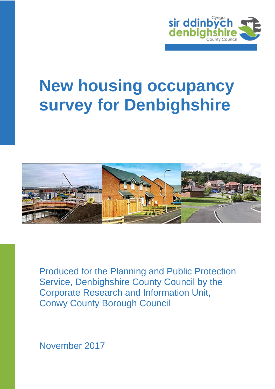

# **New housing occupancy survey for Denbighshire**



Produced for the Planning and Public Protection Service, Denbighshire County Council by the Corporate Research and Information Unit, Conwy County Borough Council

November 2017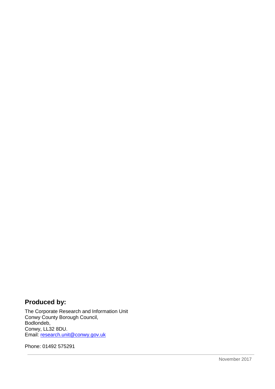## **Produced by:**

The Corporate Research and Information Unit Conwy County Borough Council, Bodlondeb, Conwy, LL32 8DU. Email: [research.unit@conwy.gov.uk](mailto:research.unit@conwy.gov.uk)

Phone: 01492 575291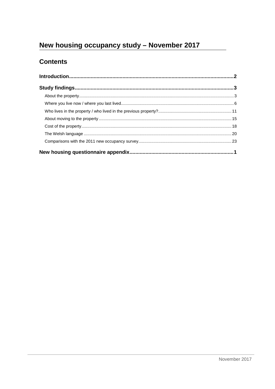# New housing occupancy study - November 2017

## **Contents**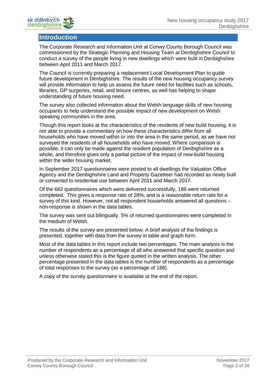

## <span id="page-3-0"></span>**Introduction**

The Corporate Research and Information Unit at Conwy County Borough Council was commissioned by the Strategic Planning and Housing Team at Denbighshire Council to conduct a survey of the people living in new dwellings which were built in Denbighshire between April 2011 and March 2017.

The Council is currently preparing a replacement Local Development Plan to guide future development in Denbighshire. The results of the new housing occupancy survey will provide information to help us assess the future need for facilities such as schools, libraries, GP surgeries, retail, and leisure centres, as well has helping to shape understanding of future housing need.

The survey also collected information about the Welsh language skills of new housing occupants to help understand the possible impact of new development on Welsh speaking communities in the area.

Though this report looks at the characteristics of the residents of new build housing, it is not able to provide a commentary on how these characteristics differ from all households who have moved within or into the area in the same period, as we have not surveyed the residents of all households who have moved. Where comparison is possible, it can only be made against the resident population of Denbighshire as a whole, and therefore gives only a partial picture of the impact of new-build housing within the wider housing market.

In September 2017 questionnaires were posted to all dwellings the Valuation Office Agency and the Denbighshire Land and Property Gazetteer had recorded as newly built or converted to residential use between April 2011 and March 2017.

Of the 662 questionnaires which were delivered successfully, 188 were returned completed. This gives a response rate of 28%, and is a reasonable return rate for a survey of this kind. However, not all respondent households answered all questions – non-response is shown in the data tables.

The survey was sent out bilingually. 5% of returned questionnaires were completed in the medium of Welsh.

The results of the survey are presented below. A brief analysis of the findings is presented, together with data from the survey in table and graph form.

Most of the data tables in this report include two percentages. The main analysis is the number of respondents as a percentage of all who answered that specific question and unless otherwise stated this is the figure quoted in the written analysis. The other percentage presented in the data tables is the number of respondents as a percentage of total responses to the survey (as a percentage of 188).

A copy of the survey questionnaire is available at the end of the report.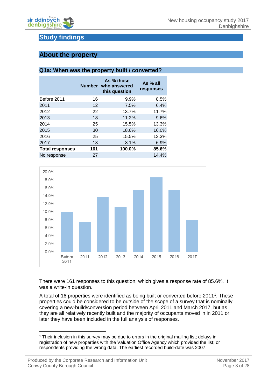

## <span id="page-4-0"></span>**Study findings**

## <span id="page-4-1"></span>**About the property**

#### **Q1a: When was the property built / converted?**

|                        |     | As % those<br>Number who answered<br>this question | As % all<br>responses |
|------------------------|-----|----------------------------------------------------|-----------------------|
| Before 2011            | 16  | 9.9%                                               | 8.5%                  |
| 2011                   | 12  | 7.5%                                               | 6.4%                  |
| 2012                   | 22  | 13.7%                                              | 11.7%                 |
| 2013                   | 18  | 11.2%                                              | 9.6%                  |
| 2014                   | 25  | 15.5%                                              | 13.3%                 |
| 2015                   | 30  | 18.6%                                              | 16.0%                 |
| 2016                   | 25  | 15.5%                                              | 13.3%                 |
| 2017                   | 13  | 8.1%                                               | 6.9%                  |
| <b>Total responses</b> | 161 | 100.0%                                             | 85.6%                 |
| No response            | 27  |                                                    | 14.4%                 |



There were 161 responses to this question, which gives a response rate of 85.6%. It was a write-in question.

A total of [1](#page-4-2)6 properties were identified as being built or converted before 2011<sup>1</sup>. These properties could be considered to be outside of the scope of a survey that is nominally covering a new-build/conversion period between April 2011 and March 2017, but as they are all relatively recently built and the majority of occupants moved in in 2011 or later they have been included in the full analysis of responses.

<u>.</u>

<span id="page-4-2"></span><sup>1</sup> Their inclusion in this survey may be due to errors in the original mailing list; delays in registration of new properties with the Valuation Office Agency which provided the list; or respondents providing the wrong data. The earliest recorded build-date was 2007.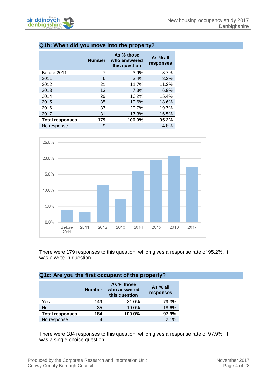

#### **Q1b: When did you move into the property?**

| <b>Number</b> | As % those<br>who answered<br>this question | As % all<br>responses |
|---------------|---------------------------------------------|-----------------------|
| 7             | 3.9%                                        | 3.7%                  |
| 6             | 3.4%                                        | 3.2%                  |
| 21            | 11.7%                                       | 11.2%                 |
| 13            | 7.3%                                        | 6.9%                  |
| 29            | 16.2%                                       | 15.4%                 |
| 35            | 19.6%                                       | 18.6%                 |
| 37            | 20.7%                                       | 19.7%                 |
| 31            | 17.3%                                       | 16.5%                 |
| 179           | 100.0%                                      | 95.2%                 |
| 9             |                                             | 4.8%                  |
|               |                                             |                       |



There were 179 responses to this question, which gives a response rate of 95.2%. It was a write-in question.

#### **Q1c: Are you the first occupant of the property?**

|                        | <b>Number</b> | As % those<br>who answered<br>this question | As % all<br>responses |
|------------------------|---------------|---------------------------------------------|-----------------------|
| Yes                    | 149           | 81.0%                                       | 79.3%                 |
| No                     | 35            | 19.0%                                       | 18.6%                 |
| <b>Total responses</b> | 184           | 100.0%                                      | 97.9%                 |
| No response            |               |                                             | 2.1%                  |

There were 184 responses to this question, which gives a response rate of 97.9%. It was a single-choice question.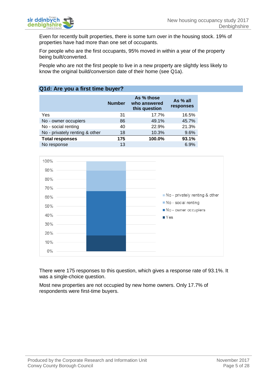

Even for recently built properties, there is some turn over in the housing stock. 19% of properties have had more than one set of occupants.

For people who are the first occupants, 95% moved in within a year of the property being built/converted.

People who are not the first people to live in a new property are slightly less likely to know the original build/conversion date of their home (see Q1a).

#### **Q1d: Are you a first time buyer?**

|                                | <b>Number</b> | As % those<br>who answered<br>this question | As % all<br>responses |
|--------------------------------|---------------|---------------------------------------------|-----------------------|
| Yes                            | 31            | 17.7%                                       | 16.5%                 |
| No - owner occupiers           | 86            | 49.1%                                       | 45.7%                 |
| No - social renting            | 40            | 22.9%                                       | 21.3%                 |
| No - privately renting & other | 18            | 10.3%                                       | 9.6%                  |
| <b>Total responses</b>         | 175           | 100.0%                                      | 93.1%                 |
| No response                    | 13            |                                             | 6.9%                  |



There were 175 responses to this question, which gives a response rate of 93.1%. It was a single-choice question.

Most new properties are not occupied by new home owners. Only 17.7% of respondents were first-time buyers.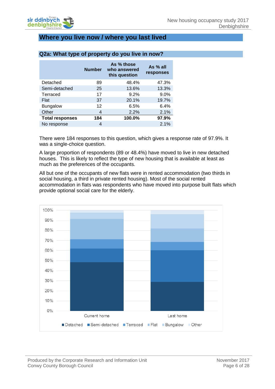## <span id="page-7-0"></span>**Where you live now / where you last lived**

|                        | <b>Number</b> | As % those<br>who answered<br>this question | As % all<br><b>responses</b> |
|------------------------|---------------|---------------------------------------------|------------------------------|
| Detached               | 89            | 48.4%                                       | 47.3%                        |
| Semi-detached          | 25            | 13.6%                                       | 13.3%                        |
| Terraced               | 17            | 9.2%                                        | 9.0%                         |
| Flat                   | 37            | 20.1%                                       | 19.7%                        |
| <b>Bungalow</b>        | 12            | 6.5%                                        | 6.4%                         |
| Other                  | 4             | 2.2%                                        | 2.1%                         |
| <b>Total responses</b> | 184           | 100.0%                                      | 97.9%                        |
| No response            | 4             |                                             | 2.1%                         |
|                        |               |                                             |                              |

#### **Q2a: What type of property do you live in now?**

There were 184 responses to this question, which gives a response rate of 97.9%. It was a single-choice question.

A large proportion of respondents (89 or 48.4%) have moved to live in new detached houses. This is likely to reflect the type of new housing that is available at least as much as the preferences of the occupants.

All but one of the occupants of new flats were in rented accommodation (two thirds in social housing, a third in private rented housing). Most of the social rented accommodation in flats was respondents who have moved into purpose built flats which provide optional social care for the elderly.

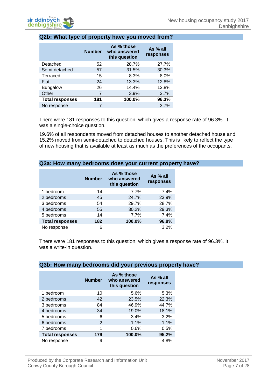

#### **Q2b: What type of property have you moved from?**

|                        | <b>Number</b> | As % those<br>who answered<br>this question | As % all<br>responses |
|------------------------|---------------|---------------------------------------------|-----------------------|
| Detached               | 52            | 28.7%                                       | 27.7%                 |
| Semi-detached          | 57            | 31.5%                                       | 30.3%                 |
| Terraced               | 15            | 8.3%                                        | 8.0%                  |
| Flat                   | 24            | 13.3%                                       | 12.8%                 |
| <b>Bungalow</b>        | 26            | 14.4%                                       | 13.8%                 |
| Other                  | 7             | 3.9%                                        | 3.7%                  |
| <b>Total responses</b> | 181           | 100.0%                                      | 96.3%                 |
| No response            |               |                                             | 3.7%                  |

There were 181 responses to this question, which gives a response rate of 96.3%. It was a single-choice question.

19.6% of all respondents moved from detached houses to another detached house and 15.2% moved from semi-detached to detached houses. This is likely to reflect the type of new housing that is available at least as much as the preferences of the occupants.

#### **Q3a: How many bedrooms does your current property have?**

|                        | <b>Number</b> | As % those<br>who answered<br>this question | As % all<br>responses |
|------------------------|---------------|---------------------------------------------|-----------------------|
| 1 bedroom              | 14            | 7.7%                                        | 7.4%                  |
| 2 bedrooms             | 45            | 24.7%                                       | 23.9%                 |
| 3 bedrooms             | 54            | 29.7%                                       | 28.7%                 |
| 4 bedrooms             | 55            | 30.2%                                       | 29.3%                 |
| 5 bedrooms             | 14            | 7.7%                                        | 7.4%                  |
| <b>Total responses</b> | 182           | 100.0%                                      | 96.8%                 |
| No response            | 6             |                                             | 3.2%                  |

There were 181 responses to this question, which gives a response rate of 96.3%. It was a write-in question.

|                        | <b>Number</b> | As % those<br>who answered<br>this question | As % all<br>responses |
|------------------------|---------------|---------------------------------------------|-----------------------|
| 1 bedroom              | 10            | 5.6%                                        | 5.3%                  |
| 2 bedrooms             | 42            | 23.5%                                       | 22.3%                 |
| 3 bedrooms             | 84            | 46.9%                                       | 44.7%                 |
| 4 bedrooms             | 34            | 19.0%                                       | 18.1%                 |
| 5 bedrooms             | 6             | 3.4%                                        | 3.2%                  |
| 6 bedrooms             | 2             | 1.1%                                        | 1.1%                  |
| 7 bedrooms             |               | 0.6%                                        | 0.5%                  |
| <b>Total responses</b> | 179           | 100.0%                                      | 95.2%                 |
| No response            | 9             |                                             | 4.8%                  |

#### **Q3b: How many bedrooms did your previous property have?**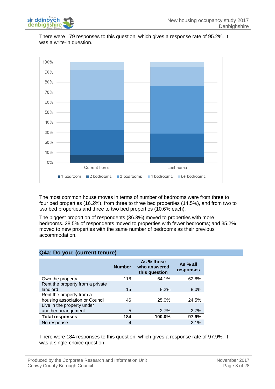

There were 179 responses to this question, which gives a response rate of 95.2%. It was a write-in question.



The most common house moves in terms of number of bedrooms were from three to four bed properties (16.2%), from three to three bed properties (14.5%), and from two to two bed properties and three to two bed properties (10.6% each).

The biggest proportion of respondents (36.3%) moved to properties with more bedrooms. 28.5% of respondents moved to properties with fewer bedrooms; and 35.2% moved to new properties with the same number of bedrooms as their previous accommodation.

| $\frac{1}{2}$ . $\frac{1}{2}$ , $\frac{1}{2}$ , $\frac{1}{2}$ , $\frac{1}{2}$ , $\frac{1}{2}$ , $\frac{1}{2}$ , $\frac{1}{2}$ , $\frac{1}{2}$ , $\frac{1}{2}$ |               |                                             |                       |
|---------------------------------------------------------------------------------------------------------------------------------------------------------------|---------------|---------------------------------------------|-----------------------|
|                                                                                                                                                               | <b>Number</b> | As % those<br>who answered<br>this question | As % all<br>responses |
| Own the property                                                                                                                                              | 118           | 64.1%                                       | 62.8%                 |
| Rent the property from a private<br>landlord                                                                                                                  | 15            | 8.2%                                        | 8.0%                  |
| Rent the property from a<br>housing association or Council                                                                                                    | 46            | 25.0%                                       | 24.5%                 |
| Live in the property under<br>another arrangement                                                                                                             | 5             | 2.7%                                        | 2.7%                  |
| <b>Total responses</b>                                                                                                                                        | 184           | 100.0%                                      | 97.9%                 |
| No response                                                                                                                                                   | 4             |                                             | 2.1%                  |

**Q4a: Do you: (current tenure)**

There were 184 responses to this question, which gives a response rate of 97.9%. It was a single-choice question.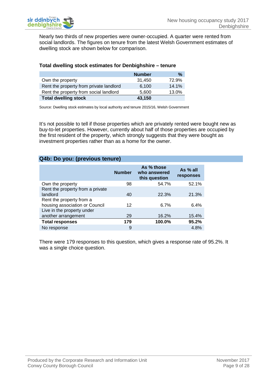Nearly two thirds of new properties were owner-occupied. A quarter were rented from social landlords. The figures on tenure from the latest Welsh Government estimates of dwelling stock are shown below for comparison.

#### **Total dwelling stock estimates for Denbighshire – tenure**

|                                         | <b>Number</b> | $\%$  |
|-----------------------------------------|---------------|-------|
| Own the property                        | 31.450        | 72.9% |
| Rent the property from private landlord | 6.100         | 14.1% |
| Rent the property from social landlord  | 5.600         | 13.0% |
| <b>Total dwelling stock</b>             | 43,150        |       |

Source: Dwelling stock estimates by local authority and tenure 2015/16, Welsh Government

It's not possible to tell if those properties which are privately rented were bought new as buy-to-let properties. However, currently about half of those properties are occupied by the first resident of the property, which strongly suggests that they were bought as investment properties rather than as a home for the owner.

#### **Q4b: Do you: (previous tenure)**

|                                                            | <b>Number</b> | As % those<br>who answered<br>this question | As % all<br>responses |
|------------------------------------------------------------|---------------|---------------------------------------------|-----------------------|
| Own the property                                           | 98            | 54.7%                                       | 52.1%                 |
| Rent the property from a private<br>landlord               | 40            | 22.3%                                       | 21.3%                 |
| Rent the property from a<br>housing association or Council | 12            | 6.7%                                        | 6.4%                  |
| Live in the property under<br>another arrangement          | 29            | 16.2%                                       | 15.4%                 |
| <b>Total responses</b>                                     | 179           | 100.0%                                      | 95.2%                 |
| No response                                                | 9             |                                             | 4.8%                  |

There were 179 responses to this question, which gives a response rate of 95.2%. It was a single choice question.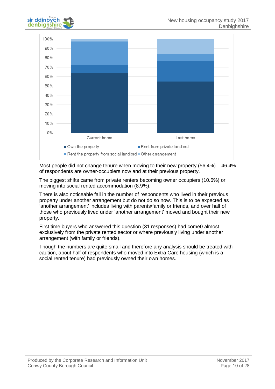



Most people did not change tenure when moving to their new property (56.4%) – 46.4% of respondents are owner-occupiers now and at their previous property.

The biggest shifts came from private renters becoming owner occupiers (10.6%) or moving into social rented accommodation (8.9%).

There is also noticeable fall in the number of respondents who lived in their previous property under another arrangement but do not do so now. This is to be expected as 'another arrangement' includes living with parents/family or friends, and over half of those who previously lived under 'another arrangement' moved and bought their new property.

First time buyers who answered this question (31 responses) had come0 almost exclusively from the private rented sector or where previously living under another arrangement (with family or friends).

Though the numbers are quite small and therefore any analysis should be treated with caution, about half of respondents who moved into Extra Care housing (which is a social rented tenure) had previously owned their own homes.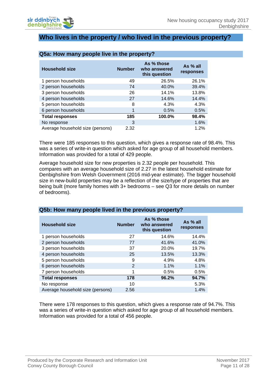

### <span id="page-12-0"></span>**Who lives in the property / who lived in the previous property?**

| <b>Household size</b>            | <b>Number</b> | As % those<br>who answered<br>this question | As % all<br>responses |
|----------------------------------|---------------|---------------------------------------------|-----------------------|
| 1 person households              | 49            | 26.5%                                       | 26.1%                 |
| 2 person households              | 74            | 40.0%                                       | 39.4%                 |
| 3 person households              | 26            | 14.1%                                       | 13.8%                 |
| 4 person households              | 27            | 14.6%                                       | 14.4%                 |
| 5 person households              | 8             | 4.3%                                        | 4.3%                  |
| 6 person households              | 1             | 0.5%                                        | 0.5%                  |
| <b>Total responses</b>           | 185           | 100.0%                                      | 98.4%                 |
| No response                      | 3             |                                             | 1.6%                  |
| Average household size (persons) | 2.32          |                                             | 1.2%                  |

#### **Q5a: How many people live in the property?**

There were 185 responses to this question, which gives a response rate of 98.4%. This was a series of write-in question which asked for age group of all household members. Information was provided for a total of 429 people.

Average household size for new properties is 2.32 people per household. This compares with an average household size of 2.27 in the latest household estimate for Denbighshire from Welsh Government (2016 mid-year estimate). The bigger household size in new-build properties may be a reflection of the size/type of properties that are being built (more family homes with 3+ bedrooms – see Q3 for more details on number of bedrooms).

| <b>Household size</b>            | <b>Number</b>  | As % those<br>who answered<br>this question | As $%$ all<br>responses |
|----------------------------------|----------------|---------------------------------------------|-------------------------|
| 1 person households              | 27             | 14.6%                                       | 14.4%                   |
| 2 person households              | 77             | 41.6%                                       | 41.0%                   |
| 3 person households              | 37             | 20.0%                                       | 19.7%                   |
| 4 person households              | 25             | 13.5%                                       | 13.3%                   |
| 5 person households              | 9              | 4.9%                                        | 4.8%                    |
| 6 person households              | $\overline{2}$ | 1.1%                                        | 1.1%                    |
| 7 person households              | 1              | 0.5%                                        | 0.5%                    |
| <b>Total responses</b>           | 178            | 96.2%                                       | 94.7%                   |
| No response                      | 10             |                                             | 5.3%                    |
| Average household size (persons) | 2.56           |                                             | 1.4%                    |

#### **Q5b: How many people lived in the previous property?**

There were 178 responses to this question, which gives a response rate of 94.7%. This was a series of write-in question which asked for age group of all household members. Information was provided for a total of 456 people.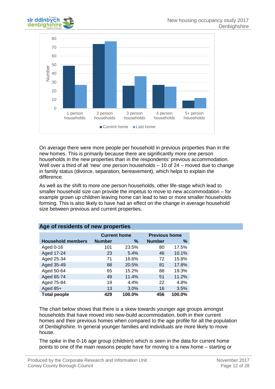



On average there were more people per household in previous properties than in the new homes. This is primarily because there are significantly more one person households in the new properties than in the respondents' previous accommodation. Well over a third of all 'new' one person households – 10 of 24 – moved due to change in family status (divorce, separation, bereavement), which helps to explain the difference.

As well as the shift to more one person households, other life-stage which lead to smaller household size can provide the impetus to move to new accommodation – for example grown up children leaving home can lead to two or more smaller households forming. This is also likely to have had an effect on the change in average household size between previous and current properties.

|                          | <b>Current home</b> |        | <b>Previous home</b> |        |
|--------------------------|---------------------|--------|----------------------|--------|
| <b>Household members</b> | <b>Number</b>       | %      | <b>Number</b>        | %      |
| Aged 0-16                | 101                 | 23.5%  | 80                   | 17.5%  |
| Aged 17-24               | 23                  | 5.4%   | 46                   | 10.1%  |
| Aged 25-34               | 71                  | 16.6%  | 72                   | 15.8%  |
| Aged 35-49               | 88                  | 20.5%  | 81                   | 17.8%  |
| Aged 50-64               | 65                  | 15.2%  | 88                   | 19.3%  |
| Aged 65-74               | 49                  | 11.4%  | 51                   | 11.2%  |
| Aged 75-84               | 19                  | 4.4%   | 22                   | 4.8%   |
| Aged $85+$               | 13                  | 3.0%   | 16                   | 3.5%   |
| <b>Total people</b>      | 429                 | 100.0% | 456                  | 100.0% |

#### **Age of residents of new properties**

The chart below shows that there is a skew towards younger age groups amongst households that have moved into new-build accommodation, both in their current homes and their previous homes when compared to the age profile for all the population of Denbighshire. In general younger families and individuals are more likely to move house.

The spike in the 0-16 age group (children) which is seen in the data for current home points to one of the main reasons people have for moving to a new home – starting or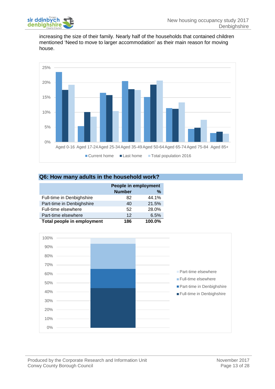

increasing the size of their family. Nearly half of the households that contained children mentioned 'Need to move to larger accommodation' as their main reason for moving house.



#### **Q6: How many adults in the household work?**

|                            | People in employment |               |  |
|----------------------------|----------------------|---------------|--|
|                            | <b>Number</b>        | $\frac{0}{0}$ |  |
| Full-time in Denbighshire  | 82                   | 44.1%         |  |
| Part-time in Denbighshire  | 40                   | 21.5%         |  |
| Full-time elsewhere        | 52                   | 28.0%         |  |
| Part-time elsewhere        | 12                   | 6.5%          |  |
| Total people in employment | 186                  | 100.0%        |  |

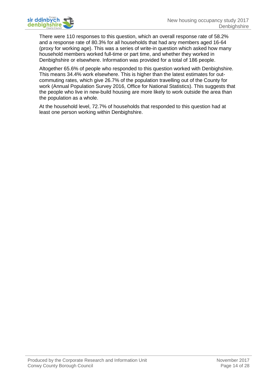There were 110 responses to this question, which an overall response rate of 58.2% and a response rate of 80.3% for all households that had any members aged 16-64 (proxy for working age). This was a series of write-in question which asked how many household members worked full-time or part time, and whether they worked in Denbighshire or elsewhere. Information was provided for a total of 186 people.

Altogether 65.6% of people who responded to this question worked with Denbighshire. This means 34.4% work elsewhere. This is higher than the latest estimates for outcommuting rates, which give 26.7% of the population travelling out of the County for work (Annual Population Survey 2016, Office for National Statistics). This suggests that the people who live in new-build housing are more likely to work outside the area than the population as a whole.

At the household level, 72.7% of households that responded to this question had at least one person working within Denbighshire.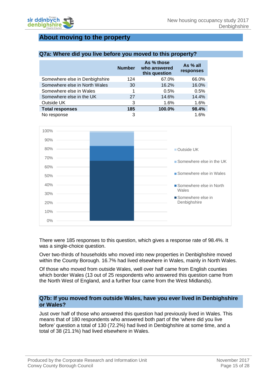## <span id="page-16-0"></span>**About moving to the property**

#### **Q7a: Where did you live before you moved to this property?**

|                                | <b>Number</b> | As % those<br>who answered<br>this question | As % all<br>responses |
|--------------------------------|---------------|---------------------------------------------|-----------------------|
| Somewhere else in Denbighshire | 124           | 67.0%                                       | 66.0%                 |
| Somewhere else in North Wales  | 30            | 16.2%                                       | 16.0%                 |
| Somewhere else in Wales        |               | 0.5%                                        | 0.5%                  |
| Somewhere else in the UK       | 27            | 14.6%                                       | 14.4%                 |
| Outside UK                     | 3             | 1.6%                                        | 1.6%                  |
| <b>Total responses</b>         | 185           | 100.0%                                      | 98.4%                 |
| No response                    | 3             |                                             | 1.6%                  |



There were 185 responses to this question, which gives a response rate of 98.4%. It was a single-choice question.

Over two-thirds of households who moved into new properties in Denbighshire moved within the County Borough. 16.7% had lived elsewhere in Wales, mainly in North Wales.

Of those who moved from outside Wales, well over half came from English counties which border Wales (13 out of 25 respondents who answered this question came from the North West of England, and a further four came from the West Midlands).

#### **Q7b: If you moved from outside Wales, have you ever lived in Denbighshire or Wales?**

Just over half of those who answered this question had previously lived in Wales. This means that of 180 respondents who answered both part of the 'where did you live before' question a total of 130 (72.2%) had lived in Denbighshire at some time, and a total of 38 (21.1%) had lived elsewhere in Wales.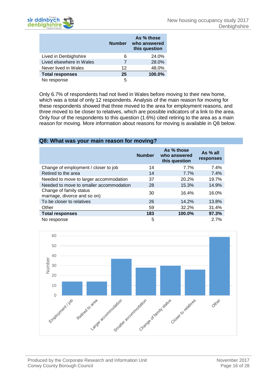

|                          | <b>Number</b> | As % those<br>who answered<br>this question |
|--------------------------|---------------|---------------------------------------------|
| Lived in Denbighshire    | 6             | 24.0%                                       |
| Lived elsewhere in Wales | 7             | 28.0%                                       |
| Never lived in Wales     | 12            | 48.0%                                       |
| <b>Total responses</b>   | 25            | 100.0%                                      |
| No response              | 5             |                                             |

Only 6.7% of respondents had not lived in Wales before moving to their new home, which was a total of only 12 respondents. Analysis of the main reason for moving for these respondents showed that three moved to the area for employment reasons, and three moved to be closer to relatives, which are possible indicators of a link to the area. Only four of the respondents to this question (1.6%) cited retiring to the area as a main reason for moving. More information about reasons for moving is available in Q8 below.

#### **Q8: What was your main reason for moving?**

|                                                         | <b>Number</b> | As % those<br>who answered<br>this question | As % all<br>responses |
|---------------------------------------------------------|---------------|---------------------------------------------|-----------------------|
| Change of employment / closer to job                    | 14            | 7.7%                                        | 7.4%                  |
| Retired to the area                                     | 14            | 7.7%                                        | 7.4%                  |
| Needed to move to larger accommodation                  | 37            | 20.2%                                       | 19.7%                 |
| Needed to move to smaller accommodation                 | 28            | 15.3%                                       | 14.9%                 |
| Change of family status<br>marriage, divorce and so on) | 30            | 16.4%                                       | 16.0%                 |
| To be closer to relatives                               | 26            | 14.2%                                       | 13.8%                 |
| Other                                                   | 59            | 32.2%                                       | 31.4%                 |
| <b>Total responses</b>                                  | 183           | 100.0%                                      | 97.3%                 |
| No response                                             | 5             |                                             | 2.7%                  |

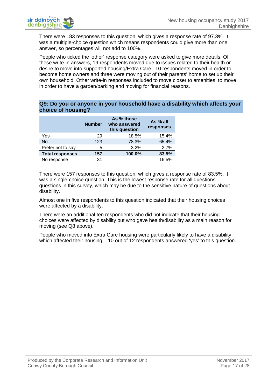

There were 183 responses to this question, which gives a response rate of 97.3%. It was a multiple-choice question which means respondents could give more than one answer, so percentages will not add to 100%.

People who ticked the 'other' response category were asked to give more details. Of these write-in answers, 19 respondents moved due to issues related to their health or desire to move into supported housing/Extra Care. 10 respondents moved in order to become home owners and three were moving out of their parents' home to set up their own household. Other write-in responses included to move closer to amenities, to move in order to have a garden/parking and moving for financial reasons.

#### **Q9: Do you or anyone in your household have a disability which affects your choice of housing?**

|                        | <b>Number</b> | As % those<br>who answered<br>this question | As % all<br>responses |
|------------------------|---------------|---------------------------------------------|-----------------------|
| Yes                    | 29            | 18.5%                                       | 15.4%                 |
| <b>No</b>              | 123           | 78.3%                                       | 65.4%                 |
| Prefer not to say      | 5             | 3.2%                                        | 2.7%                  |
| <b>Total responses</b> | 157           | 100.0%                                      | 83.5%                 |
| No response            | 31            |                                             | 16.5%                 |

There were 157 responses to this question, which gives a response rate of 83.5%. It was a single-choice question. This is the lowest response rate for all questions questions in this survey, which may be due to the sensitive nature of questions about disability.

Almost one in five respondents to this question indicated that their housing choices were affected by a disability.

There were an additional ten respondents who did not indicate that their housing choices were affected by disability but who gave health/disability as a main reason for moving (see Q8 above).

People who moved into Extra Care housing were particularly likely to have a disability which affected their housing – 10 out of 12 respondents answered 'yes' to this question.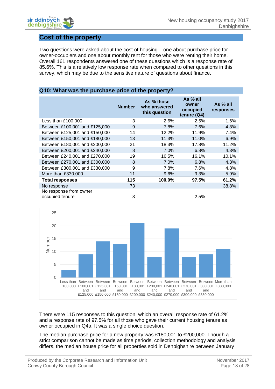

## <span id="page-19-0"></span>**Cost of the property**

Two questions were asked about the cost of housing – one about purchase price for owner-occupiers and one about monthly rent for those who were renting their home. Overall 161 respondents answered one of these questions which is a response rate of 85.6%. This is a relatively low response rate when compared to other questions in this survey, which may be due to the sensitive nature of questions about finance.

#### **Q10: What was the purchase price of the property?**

|                                           | <b>Number</b> | As % those<br>who answered<br>this question | As % all<br>owner<br>occupied<br>tenure (Q4) | As $%$ all<br>responses |
|-------------------------------------------|---------------|---------------------------------------------|----------------------------------------------|-------------------------|
| Less than £100,000                        | 3             | 2.6%                                        | 2.5%                                         | 1.6%                    |
| Between £100,001 and £125,000             | 9             | 7.8%                                        | 7.6%                                         | 4.8%                    |
| Between £125,001 and £150,000             | 14            | 12.2%                                       | 11.9%                                        | 7.4%                    |
| Between £150,001 and £180,000             | 13            | 11.3%                                       | 11.0%                                        | 6.9%                    |
| Between £180,001 and £200,000             | 21            | 18.3%                                       | 17.8%                                        | 11.2%                   |
| Between £200,001 and £240,000             | 8             | 7.0%                                        | 6.8%                                         | 4.3%                    |
| Between £240,001 and £270,000             | 19            | 16.5%                                       | 16.1%                                        | 10.1%                   |
| Between £270,001 and £300,000             | 8             | 7.0%                                        | 6.8%                                         | 4.3%                    |
| Between £300,001 and £330,000             | 9             | 7.8%                                        | 7.6%                                         | 4.8%                    |
| More than £330,000                        | 11            | 9.6%                                        | 9.3%                                         | 5.9%                    |
| <b>Total responses</b>                    | 115           | 100.0%                                      | 97.5%                                        | 61.2%                   |
| No response                               | 73            |                                             |                                              | 38.8%                   |
| No response from owner<br>occupied tenure | 3             |                                             | 2.5%                                         |                         |



There were 115 responses to this question, which an overall response rate of 61.2% and a response rate of 97.5% for all those who gave their current housing tenure as owner occupied in Q4a. It was a single choice question.

The median purchase price for a new property was £180,001 to £200,000. Though a strict comparison cannot be made as time periods, collection methodology and analysis differs, the median house price for all properties sold in Denbighshire between January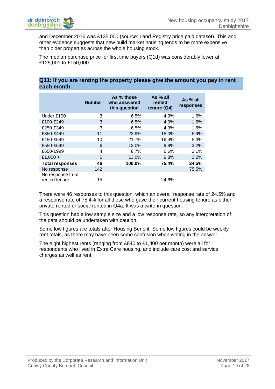

and December 2016 was £135,000 (source: Land Registry price paid dataset). This and other evidence suggests that new build market housing tends to be more expensive than older properties across the whole housing stock.

The median purchase price for first time buyers (Q1d) was considerably lower at £125,001 to £150,000.

#### **Q11: If you are renting the property please give the amount you pay in rent each month**

|                                   | <b>Number</b> | As % those<br>who answered<br>this question | As % all<br>rented<br>tenure $(Q4)$ | As % all<br>responses |
|-----------------------------------|---------------|---------------------------------------------|-------------------------------------|-----------------------|
| Under £100                        | 3             | 6.5%                                        | 4.9%                                | 1.6%                  |
| £100-£249                         | 3             | 6.5%                                        | 4.9%                                | 1.6%                  |
| £250-£349                         | 3             | 6.5%                                        | 4.9%                                | 1.6%                  |
| £350-£449                         | 11            | 23.9%                                       | 18.0%                               | 5.9%                  |
| £450-£549                         | 10            | 21.7%                                       | 16.4%                               | 5.3%                  |
| £550-£649                         | 6             | 13.0%                                       | 9.8%                                | 3.2%                  |
| £650-£999                         | 4             | 8.7%                                        | 6.6%                                | 2.1%                  |
| £1,000 +                          | 6             | 13.0%                                       | 9.8%                                | 3.2%                  |
| <b>Total responses</b>            | 46            | 100.0%                                      | 75.4%                               | 24.5%                 |
| No response                       | 142           |                                             |                                     | 75.5%                 |
| No response from<br>rented tenure | 15            |                                             | 24.6%                               |                       |

There were 46 responses to this question, which an overall response rate of 24.5% and a response rate of 75.4% for all those who gave their current housing tenure as either private rented or social rented in Q4a. It was a write-in question.

This question had a low sample size and a low response rate, so any interpretation of the data should be undertaken with caution.

Some low figures are totals after Housing Benefit. Some low figures could be weekly rent totals, as there may have been some confusion when writing in the answer.

The eight highest rents (ranging from £840 to £1,400 per month) were all for respondents who lived in Extra Care housing, and include care cost and service charges as well as rent.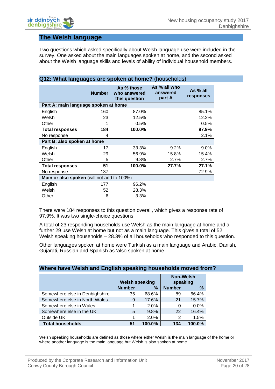## <span id="page-21-0"></span>**The Welsh language**

Two questions which asked specifically about Welsh language use were included in the survey. One asked about the main languages spoken at home, and the second asked about the Welsh language skills and levels of ability of individual household members.

| <b>Q12: What languages are spoken at home?</b> (nouseholds) |               |                                             |                                    |                       |  |  |
|-------------------------------------------------------------|---------------|---------------------------------------------|------------------------------------|-----------------------|--|--|
|                                                             | <b>Number</b> | As % those<br>who answered<br>this question | As % all who<br>answered<br>part A | As % all<br>responses |  |  |
| Part A: main language spoken at home                        |               |                                             |                                    |                       |  |  |
| English                                                     | 160           | 87.0%                                       |                                    | 85.1%                 |  |  |
| Welsh                                                       | 23            | 12.5%                                       |                                    | 12.2%                 |  |  |
| Other                                                       | 1             | 0.5%                                        |                                    | 0.5%                  |  |  |
| <b>Total responses</b>                                      | 184           | 100.0%                                      |                                    | 97.9%                 |  |  |
| No response                                                 | 4             |                                             |                                    | 2.1%                  |  |  |
| Part B: also spoken at home                                 |               |                                             |                                    |                       |  |  |
| English                                                     | 17            | 33.3%                                       | 9.2%                               | $9.0\%$               |  |  |
| Welsh                                                       | 29            | 56.9%                                       | 15.8%                              | 15.4%                 |  |  |
| Other                                                       | 5             | 9.8%                                        | 2.7%                               | 2.7%                  |  |  |
| <b>Total responses</b>                                      | 51            | 100.0%                                      | 27.7%                              | 27.1%                 |  |  |
| No response                                                 | 137           |                                             |                                    | 72.9%                 |  |  |
| Main or also spoken (will not add to 100%)                  |               |                                             |                                    |                       |  |  |
| English                                                     | 177           | 96.2%                                       |                                    |                       |  |  |
| Welsh                                                       | 52            | 28.3%                                       |                                    |                       |  |  |
| Other                                                       | 6             | 3.3%                                        |                                    |                       |  |  |

**Q12: What languages are spoken at home?** (households)

There were 184 responses to this question overall, which gives a response rate of 97.9%. It was two single-choice questions.

A total of 23 responding households use Welsh as the main language at home and a further 29 use Welsh at home but not as a main language. This gives a total of 52 Welsh speaking households – 28.3% of all households who responded to this question.

Other languages spoken at home were Turkish as a main language and Arabic, Danish, Gujarati, Russian and Spanish as 'also spoken at home.

#### **Where have Welsh and English speaking households moved from?**

|                                | <b>Welsh speaking</b> |        | <b>Non-Welsh</b><br>speaking |        |
|--------------------------------|-----------------------|--------|------------------------------|--------|
|                                | <b>Number</b>         | $\%$   | <b>Number</b>                | $\%$   |
| Somewhere else in Denbighshire | 35                    | 68.6%  | 89                           | 66.4%  |
| Somewhere else in North Wales  | 9                     | 17.6%  | 21                           | 15.7%  |
| Somewhere else in Wales        |                       | 2.0%   | 0                            | 0.0%   |
| Somewhere else in the UK       | 5                     | 9.8%   | 22                           | 16.4%  |
| Outside UK                     |                       | 2.0%   | 2                            | 1.5%   |
| <b>Total households</b>        | 51                    | 100.0% | 134                          | 100.0% |

Welsh speaking households are defined as those where either Welsh is the main language of the home or where another language is the main language but Welsh is also spoken at home.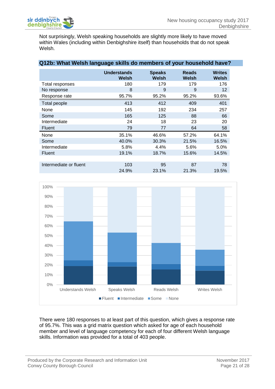Not surprisingly, Welsh speaking households are slightly more likely to have moved within Wales (including within Denbighshire itself) than households that do not speak Welsh.

| Q12b: What Welsh language skills do members of your household have? |                             |                        |                       |                               |
|---------------------------------------------------------------------|-----------------------------|------------------------|-----------------------|-------------------------------|
|                                                                     | <b>Understands</b><br>Welsh | <b>Speaks</b><br>Welsh | <b>Reads</b><br>Welsh | <b>Writes</b><br><b>Welsh</b> |
| Total responses                                                     | 180                         | 179                    | 179                   | 176                           |
| No response                                                         | 8                           | 9                      | 9                     | 12 <sup>°</sup>               |
| Response rate                                                       | 95.7%                       | 95.2%                  | 95.2%                 | 93.6%                         |
| Total people                                                        | 413                         | 412                    | 409                   | 401                           |
| None                                                                | 145                         | 192                    | 234                   | 257                           |
| Some                                                                | 165                         | 125                    | 88                    | 66                            |
| Intermediate                                                        | 24                          | 18                     | 23                    | 20                            |
| <b>Fluent</b>                                                       | 79                          | 77                     | 64                    | 58                            |
| None                                                                | 35.1%                       | 46.6%                  | 57.2%                 | 64.1%                         |
| Some                                                                | 40.0%                       | 30.3%                  | 21.5%                 | 16.5%                         |
| Intermediate                                                        | 5.8%                        | 4.4%                   | 5.6%                  | 5.0%                          |
| <b>Fluent</b>                                                       | 19.1%                       | 18.7%                  | 15.6%                 | 14.5%                         |
|                                                                     |                             |                        |                       |                               |
| Intermediate or fluent                                              | 103                         | 95                     | 87                    | 78                            |
|                                                                     | 24.9%                       | 23.1%                  | 21.3%                 | 19.5%                         |



There were 180 responses to at least part of this question, which gives a response rate of 95.7%. This was a grid matrix question which asked for age of each household member and level of language competency for each of four different Welsh language skills. Information was provided for a total of 403 people.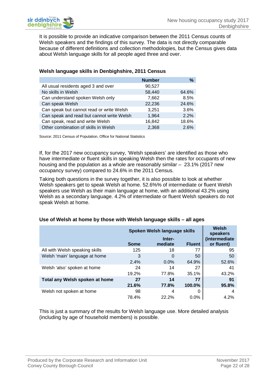It is possible to provide an indicative comparison between the 2011 Census counts of Welsh speakers and the findings of this survey. The data is not directly comparable because of different definitions and collection methodologies, but the Census gives data about Welsh language skills for all people aged three and over.

|                                           | <b>Number</b> | %     |
|-------------------------------------------|---------------|-------|
| All usual residents aged 3 and over       | 90,527        |       |
| No skills in Welsh                        | 58,440        | 64.6% |
| Can understand spoken Welsh only          | 7,662         | 8.5%  |
| Can speak Welsh                           | 22,236        | 24.6% |
| Can speak but cannot read or write Welsh  | 3,251         | 3.6%  |
| Can speak and read but cannot write Welsh | 1,964         | 2.2%  |
| Can speak, read and write Welsh           | 16,842        | 18.6% |
| Other combination of skills in Welsh      | 2,368         | 2.6%  |

#### **Welsh language skills in Denbighshire, 2011 Census**

Source: 2011 Census of Population, Office for National Statistics

If, for the 2017 new occupancy survey, 'Welsh speakers' are identified as those who have intermediate or fluent skills in speaking Welsh then the rates for occupants of new housing and the population as a whole are reasonably similar – 23.1% (2017 new occupancy survey) compared to 24.6% in the 2011 Census.

Taking both questions in the survey together, it is also possible to look at whether Welsh speakers get to speak Welsh at home. 52.6%% of intermediate or fluent Welsh speakers use Welsh as their main language at home, with an additional 43.2% using Welsh as a secondary language. 4.2% of intermediate or fluent Welsh speakers do not speak Welsh at home.

|                                | <b>Some</b> | Spoken Welsh language skills<br>Inter-<br>mediate | <b>Fluent</b> | Welsh<br>speakers<br>(intermediate<br>or fluent) |
|--------------------------------|-------------|---------------------------------------------------|---------------|--------------------------------------------------|
| All with Welsh speaking skills | 125         | 18                                                | 77            | 95                                               |
| Welsh 'main' language at home  | 3           | 0                                                 | 50            | 50                                               |
|                                | 2.4%        | $0.0\%$                                           | 64.9%         | 52.6%                                            |
| Welsh 'also' spoken at home    | 24          | 14                                                | 27            | 41                                               |
|                                | 19.2%       | 77.8%                                             | 35.1%         | 43.2%                                            |
| Total any Welsh spoken at home | 27          | 14                                                | 77            | 91                                               |
|                                | 21.6%       | 77.8%                                             | 100.0%        | 95.8%                                            |
| Welsh not spoken at home       | 98          | 4                                                 | 0             | 4                                                |
|                                | 78.4%       | 22.2%                                             | $0.0\%$       | 4.2%                                             |

#### **Use of Welsh at home by those with Welsh language skills – all ages**

This is just a summary of the results for Welsh language use. More detailed analysis (including by age of household members) is possible.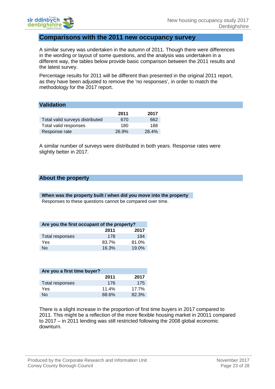

#### <span id="page-24-0"></span>**Comparisons with the 2011 new occupancy survey**

A similar survey was undertaken in the autumn of 2011. Though there were differences in the wording or layout of some questions, and the analysis was undertaken in a different way, the tables below provide basic comparison between the 2011 results and the latest survey.

Percentage results for 2011 will be different than presented in the original 2011 report, as they have been adjusted to remove the 'no responses', in order to match the methodology for the 2017 report.

|                                 | 2011  | 2017  |
|---------------------------------|-------|-------|
| Total valid surveys distributed | 670   | 662   |
| Total valid responses           | 180   | 188   |
| Response rate                   | 26.9% | 28.4% |

A similar number of surveys were distributed in both years. Response rates were slightly better in 2017.

#### **About the property**

**When was the property built / when did you move into the property** Responses to these questions cannot be compared over time.

| Are you the first occupant of the property? |       |       |  |
|---------------------------------------------|-------|-------|--|
|                                             | 2011  | 2017  |  |
| Total responses                             | 178   | 184   |  |
| Yes                                         | 83.7% | 81.0% |  |
| <b>No</b>                                   | 16.3% | 19.0% |  |

| Are you a first time buyer? |       |          |  |
|-----------------------------|-------|----------|--|
|                             | 2011  | 2017     |  |
| Total responses             | 176   | 175      |  |
| Yes                         | 11.4% | $17.7\%$ |  |
| Nο                          | 88.6% | 82.3%    |  |

There is a slight increase in the proportion of first time buyers in 2017 compared to 2011. This might be a reflection of the more flexible housing market in 20011 compared to 2017 – in 2011 lending was still restricted following the 2008 global economic downturn.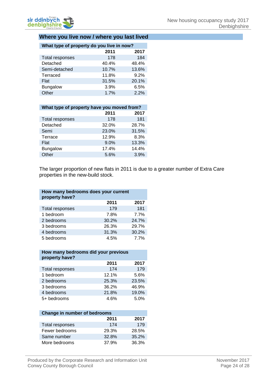#### **Where you live now / where you last lived**

| What type of property do you live in now? |       |       |  |
|-------------------------------------------|-------|-------|--|
|                                           | 2011  | 2017  |  |
| Total responses                           | 178   | 184   |  |
| Detached                                  | 40.4% | 48.4% |  |
| Semi-detached                             | 10.7% | 13.6% |  |
| Terraced                                  | 11.8% | 9.2%  |  |
| Flat                                      | 31.5% | 20.1% |  |
| <b>Bungalow</b>                           | 3.9%  | 6.5%  |  |
| Other                                     | 1.7%  | 2.2%  |  |

| What type of property have you moved from? |       |  |  |
|--------------------------------------------|-------|--|--|
| 2011                                       | 2017  |  |  |
| 178                                        | 181   |  |  |
| 32.0%                                      | 28.7% |  |  |
| 23.0%                                      | 31.5% |  |  |
| 12.9%                                      | 8.3%  |  |  |
| 9.0%                                       | 13.3% |  |  |
| 17.4%                                      | 14.4% |  |  |
| 5.6%                                       | 3.9%  |  |  |
|                                            |       |  |  |

The larger proportion of new flats in 2011 is due to a greater number of Extra Care properties in the new-build stock.

| How many bedrooms does your current<br>property have? |       |       |  |
|-------------------------------------------------------|-------|-------|--|
|                                                       | 2011  | 2017  |  |
| Total responses                                       | 179   | 181   |  |
| 1 bedroom                                             | 7.8%  | 7.7%  |  |
| 2 bedrooms                                            | 30.2% | 24.7% |  |
| 3 bedrooms                                            | 26.3% | 29.7% |  |
| 4 bedrooms                                            | 31.3% | 30.2% |  |
| 5 bedrooms                                            | 4.5%  | 7.7%  |  |

#### **How many bedrooms did your previous property have?**

|                 | 2011  | 2017  |
|-----------------|-------|-------|
| Total responses | 174   | 179   |
| 1 bedroom       | 12.1% | 5.6%  |
| 2 bedrooms      | 25.3% | 23.5% |
| 3 bedrooms      | 36.2% | 46.9% |
| 4 bedrooms      | 21.8% | 19.0% |
| 5+ bedrooms     | 4.6%  | 5.0%  |

| <b>Change in number of bedrooms</b> |       |       |  |
|-------------------------------------|-------|-------|--|
|                                     | 2011  | 2017  |  |
| Total responses                     | 174   | 179   |  |
| Fewer bedrooms                      | 29.3% | 28.5% |  |
| Same number                         | 32.8% | 35.2% |  |
| More bedrooms                       | 37.9% | 36.3% |  |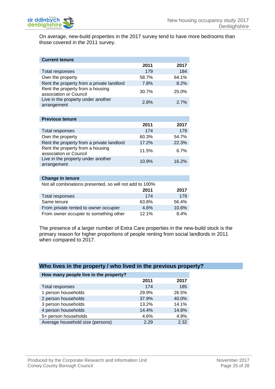On average, new-build properties in the 2017 survey tend to have more bedrooms than those covered in the 2011 survey.

| <b>Current tenure</b>                                      |       |       |
|------------------------------------------------------------|-------|-------|
|                                                            | 2011  | 2017  |
| <b>Total responses</b>                                     | 179   | 184   |
| Own the property                                           | 58.7% | 64.1% |
| Rent the property from a private landlord                  | 7.8%  | 8.2%  |
| Rent the property from a housing<br>association or Council | 30.7% | 25.0% |
| Live in the property under another<br>arrangement          | 2.8%  | 2.7%  |
|                                                            |       |       |
| <b>Previous tenure</b>                                     |       |       |
|                                                            | 2011  | 2017  |
| Total responses                                            | 174   | 179   |
| Own the property                                           | 60.3% | 54.7% |
| Rent the property from a private landlord                  | 17.2% | 22.3% |
| Rent the property from a housing<br>association or Council | 11.5% | 6.7%  |
| Live in the property under another<br>arrangement          | 10.9% | 16.2% |
|                                                            |       |       |
| <b>Change in tenure</b>                                    |       |       |
| Not all combinations presented, so will not add to 100%    |       |       |
|                                                            | 2011  | 2017  |
| <b>Total responses</b>                                     | 174   | 179   |
| Same tenure                                                | 63.8% | 56.4% |
| From private rented to owner occupier                      | 4.6%  | 10.6% |
| From owner occupier to something other                     | 12.1% | 8.4%  |

The presence of a larger number of Extra Care properties in the new-build stock is the primary reason for higher proportions of people renting from social landlords in 2011 when compared to 2017.

| Who lives in the property / who lived in the previous property? |  |
|-----------------------------------------------------------------|--|
| How many people live in the property?                           |  |
|                                                                 |  |

|                                  | 2011  | 2017  |
|----------------------------------|-------|-------|
| Total responses                  | 174   | 185   |
| 1 person households              | 29.9% | 26.5% |
| 2 person households              | 37.9% | 40.0% |
| 3 person households              | 13.2% | 14.1% |
| 4 person households              | 14.4% | 14.6% |
| 5+ person households             | 4.6%  | 4.9%  |
| Average household size (persons) | 2.29  | 2.32  |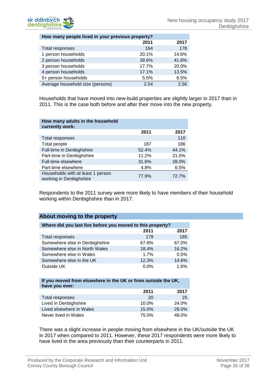

| How many people lived in your previous property? |       |       |
|--------------------------------------------------|-------|-------|
|                                                  | 2011  | 2017  |
| Total responses                                  | 164   | 178   |
| 1 person households                              | 20.1% | 14.6% |
| 2 person households                              | 39.6% | 41.6% |
| 3 person households                              | 17.7% | 20.0% |
| 4 person households                              | 17.1% | 13.5% |
| 5+ person households                             | 5.5%  | 6.5%  |
| Average household size (persons)                 | 2.54  | 2.56  |

Households that have moved into new-build properties are slightly larger in 2017 than in 2011. This is the case both before and after their move into the new property.

| How many adults in the household<br>currently work:          |       |       |
|--------------------------------------------------------------|-------|-------|
|                                                              | 2011  | 2017  |
| Total responses                                              |       | 110   |
| Total people                                                 | 187   | 186   |
| Full-time in Denbighshire                                    | 52.4% | 44.1% |
| Part-time in Denbighshire                                    | 11.2% | 21.5% |
| <b>Full-time elsewhere</b>                                   | 31.6% | 28.0% |
| Part-time elsewhere                                          | 4.8%  | 6.5%  |
| Households with at least 1 person<br>working in Denbighshire | 77.9% | 72.7% |

Respondents to the 2011 survey were more likely to have members of their household working within Denbighshire than in 2017.

#### **About moving to the property**

| Where did you last live before you moved to this property? |         |       |  |
|------------------------------------------------------------|---------|-------|--|
|                                                            | 2011    | 2017  |  |
| Total responses                                            | 179     | 185   |  |
| Somewhere else in Denbighshire                             | 67.6%   | 67.0% |  |
| Somewhere else in North Wales                              | 18.4%   | 16.2% |  |
| Somewhere else in Wales                                    | 1.7%    | 0.5%  |  |
| Somewhere else in the UK                                   | 12.3%   | 14.6% |  |
| Outside UK                                                 | $0.0\%$ | 1.6%  |  |

#### **If you moved from elsewhere in the UK or from outside the UK, have you ever:**

|                          | 2011  | 2017  |
|--------------------------|-------|-------|
| Total responses          | 20    | 25    |
| Lived in Denbighshire    | 10.0% | 24.0% |
| Lived elsewhere in Wales | 15.0% | 28.0% |
| Never lived in Wales     | 75.0% | 48.0% |

There was a slight increase in people moving from elsewhere in the UK/outside the UK in 2017 when compared to 2011. However, these 2017 respondents were more likely to have lived in the area previously than their counterparts in 2011.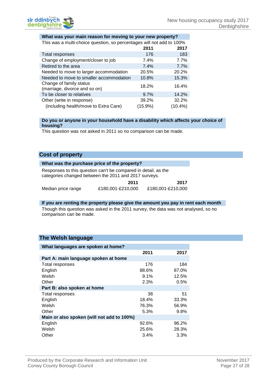#### **What was your main reason for moving to your new property?**

| This was a multi-choice question, so percentages will not add to 100% |  |
|-----------------------------------------------------------------------|--|
|                                                                       |  |

| This mas a main shores quocioni, oo poroontagoo mii hot add to Too70 |         |            |  |
|----------------------------------------------------------------------|---------|------------|--|
|                                                                      | 2011    | 2017       |  |
| Total responses                                                      | 176     | 183        |  |
| Change of employment/closer to job                                   | 7.4%    | 7.7%       |  |
| Retired to the area                                                  | 7.4%    | 7.7%       |  |
| Needed to move to larger accommodation                               | 20.5%   | 20.2%      |  |
| Needed to move to smaller accommodation                              | 10.8%   | 15.3%      |  |
| Change of family status<br>(marriage, divorce and so on)             | 18.2%   | 16.4%      |  |
| To be closer to relatives                                            | 9.7%    | 14.2%      |  |
| Other (write in response)                                            | 39.2%   | 32.2%      |  |
| (including health/move to Extra Care)                                | (15.9%) | $(10.4\%)$ |  |

#### **Do you or anyone in your household have a disability which affects your choice of housing?**

This question was not asked in 2011 so no comparison can be made.

#### **Cost of property**

|                    | What was the purchase price of the property?                                                                            |                   |
|--------------------|-------------------------------------------------------------------------------------------------------------------------|-------------------|
|                    | Responses to this question can't be compared in detail, as the<br>categories changed between the 2011 and 2017 surveys. |                   |
|                    | 2011                                                                                                                    | 2017              |
| Median price range | £180,001-£210,000                                                                                                       | £180,001-£210,000 |

## **If you are renting the property please give the amount you pay in rent each month** Though this question was asked in the 2011 survey, the data was not analysed, so no

comparison can be made.

#### **The Welsh language**

| What languages are spoken at home?         |         |       |  |
|--------------------------------------------|---------|-------|--|
|                                            | 2011    | 2017  |  |
| Part A: main language spoken at home       |         |       |  |
| Total responses                            | 176     | 184   |  |
| English                                    | 88.6%   | 87.0% |  |
| Welsh                                      | $9.1\%$ | 12.5% |  |
| Other                                      | 2.3%    | 0.5%  |  |
| Part B: also spoken at home                |         |       |  |
| Total responses                            | 38      | 51    |  |
| English                                    | 18.4%   | 33.3% |  |
| Welsh                                      | 76.3%   | 56.9% |  |
| Other                                      | 5.3%    | 9.8%  |  |
| Main or also spoken (will not add to 100%) |         |       |  |
| English                                    | 92.6%   | 96.2% |  |
| Welsh                                      | 25.6%   | 28.3% |  |
| Other                                      | 3.4%    | 3.3%  |  |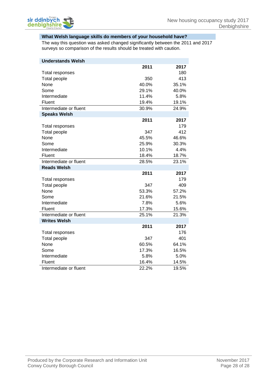#### **What Welsh language skills do members of your household have?**

The way this question was asked changed significantly between the 2011 and 2017 surveys so comparison of the results should be treated with caution.

| <b>Understands Welsh</b> |       |       |
|--------------------------|-------|-------|
|                          | 2011  | 2017  |
| Total responses          |       | 180   |
| Total people             | 350   | 413   |
| None                     | 40.0% | 35.1% |
| Some                     | 29.1% | 40.0% |
| Intermediate             | 11.4% | 5.8%  |
| Fluent                   | 19.4% | 19.1% |
| Intermediate or fluent   | 30.9% | 24.9% |
| <b>Speaks Welsh</b>      |       |       |
|                          | 2011  | 2017  |
| Total responses          |       | 179   |
| <b>Total people</b>      | 347   | 412   |
| None                     | 45.5% | 46.6% |
| Some                     | 25.9% | 30.3% |
| Intermediate             | 10.1% | 4.4%  |
| Fluent                   | 18.4% | 18.7% |
| Intermediate or fluent   | 28.5% | 23.1% |
| <b>Reads Welsh</b>       |       |       |
|                          | 2011  | 2017  |
| Total responses          |       | 179   |
| <b>Total people</b>      | 347   | 409   |
| None                     | 53.3% | 57.2% |
| Some                     | 21.6% | 21.5% |
| Intermediate             | 7.8%  | 5.6%  |
| Fluent                   | 17.3% | 15.6% |
| Intermediate or fluent   | 25.1% | 21.3% |
| <b>Writes Welsh</b>      |       |       |
|                          | 2011  | 2017  |
| Total responses          |       | 176   |
| <b>Total people</b>      | 347   | 401   |
| None                     | 60.5% | 64.1% |
| Some                     | 17.3% | 16.5% |
| Intermediate             | 5.8%  | 5.0%  |
| Fluent                   | 16.4% | 14.5% |
| Intermediate or fluent   | 22.2% | 19.5% |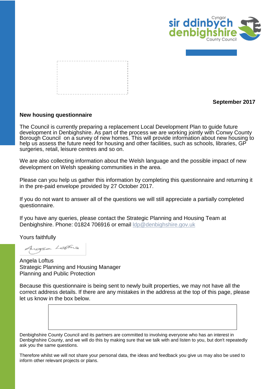

|  |  |  |  |  |  |  |  | ------------------------ |  |  |  |  |  |  |  |
|--|--|--|--|--|--|--|--|--------------------------|--|--|--|--|--|--|--|
|  |  |  |  |  |  |  |  |                          |  |  |  |  |  |  |  |
|  |  |  |  |  |  |  |  |                          |  |  |  |  |  |  |  |
|  |  |  |  |  |  |  |  |                          |  |  |  |  |  |  |  |
|  |  |  |  |  |  |  |  |                          |  |  |  |  |  |  |  |
|  |  |  |  |  |  |  |  |                          |  |  |  |  |  |  |  |
|  |  |  |  |  |  |  |  |                          |  |  |  |  |  |  |  |
|  |  |  |  |  |  |  |  |                          |  |  |  |  |  |  |  |
|  |  |  |  |  |  |  |  |                          |  |  |  |  |  |  |  |
|  |  |  |  |  |  |  |  |                          |  |  |  |  |  |  |  |
|  |  |  |  |  |  |  |  |                          |  |  |  |  |  |  |  |
|  |  |  |  |  |  |  |  |                          |  |  |  |  |  |  |  |
|  |  |  |  |  |  |  |  |                          |  |  |  |  |  |  |  |
|  |  |  |  |  |  |  |  | ----------------------   |  |  |  |  |  |  |  |
|  |  |  |  |  |  |  |  |                          |  |  |  |  |  |  |  |

**September 2017**

#### <span id="page-30-0"></span>**New housing questionnaire**

The Council is currently preparing a replacement Local Development Plan to guide future development in Denbighshire. As part of the process we are working jointly with Conwy County Borough Council on a survey of new homes. This will provide information about new housing to help us assess the future need for housing and other facilities, such as schools, libraries, GP surgeries, retail, leisure centres and so on.

We are also collecting information about the Welsh language and the possible impact of new development on Welsh speaking communities in the area.

Please can you help us gather this information by completing this questionnaire and returning it in the pre-paid envelope provided by 27 October 2017.

If you do not want to answer all of the questions we will still appreciate a partially completed questionnaire.

If you have any queries, please contact the Strategic Planning and Housing Team at Denbighshire. Phone: 01824 706916 or email [ldp@denbighshire.gov.uk](mailto:ldp@denbighshire.gov.uk)

Yours faithfully

Angea Latine

Angela Loftus Strategic Planning and Housing Manager Planning and Public Protection

Because this questionnaire is being sent to newly built properties, we may not have all the correct address details. If there are any mistakes in the address at the top of this page, please let us know in the box below.

Denbighshire County Council and its partners are committed to involving everyone who has an interest in Denbighshire County, and we will do this by making sure that we talk with and listen to you, but don't repeatedly ask you the same questions.

Therefore whilst we will not share your personal data, the ideas and feedback you give us may also be used to inform other relevant projects or plans.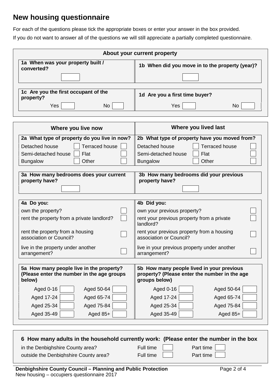# **New housing questionnaire**

For each of the questions please tick the appropriate boxes or enter your answer in the box provided.

If you do not want to answer all of the questions we will still appreciate a partially completed questionnaire.

|                                                 | About your current property                     |
|-------------------------------------------------|-------------------------------------------------|
| 1a When was your property built /<br>converted? | 1b When did you move in to the property (year)? |
|                                                 |                                                 |
| 1c Are you the first occupant of the            | 1d Are you a first time buyer?                  |
| property?<br>Yes<br>No.                         | Yes<br>No                                       |
|                                                 |                                                 |

| Where you live now                           | Where you lived last                                    |
|----------------------------------------------|---------------------------------------------------------|
| 2a What type of property do you live in now? | 2b What type of property have you moved from?           |
| <b>Terraced house</b>                        | <b>Terraced house</b>                                   |
| Detached house                               | Detached house                                          |
| Semi-detached house                          | Semi-detached house                                     |
| Flat                                         | Flat                                                    |
| Other                                        | Other                                                   |
| <b>Bungalow</b>                              | <b>Bungalow</b>                                         |
| 3a How many bedrooms does your current       | 3b How many bedrooms did your previous                  |
| property have?                               | property have?                                          |
| 4a Do you:                                   | 4b Did you:                                             |
| own the property?                            | own your previous property?                             |
| rent the property from a private landlord?   | rent your previous property from a private<br>landlord? |
| rent the property from a housing             | rent your previous property from a housing              |
| association or Council?                      | association or Council?                                 |
| live in the property under another           | live in your previous property under another            |
| arrangement?                                 | arrangement?                                            |
| 5a How many people live in the property?     | 5b How many people lived in your previous               |
| (Please enter the number in the age groups   | property? (Please enter the number in the age           |
| below)                                       | groups below)                                           |
| Aged 50-64                                   | <b>Aged 0-16</b>                                        |
| Aged 0-16                                    | Aged 50-64                                              |
| Aged 17-24                                   | Aged 17-24                                              |
| Aged 65-74                                   | Aged 65-74                                              |
| Aged 25-34                                   | Aged 25-34                                              |
| Aged 75-84                                   | Aged 75-84                                              |
| Aged 35-49                                   | Aged 35-49                                              |
| Aged 85+                                     | Aged 85+                                                |
|                                              |                                                         |

| 6 How many adults in the household currently work: (Please enter the number in the box |                            |                        |  |
|----------------------------------------------------------------------------------------|----------------------------|------------------------|--|
| in the Denbighshire County area?<br>outside the Denbighshire County area?              | Full time    <br>Full time | Part time<br>Part time |  |
| Denbighshire County Council - Planning and Public Protection                           | Page 2 of 4                |                        |  |

New housing – occupiers questionnaire 2017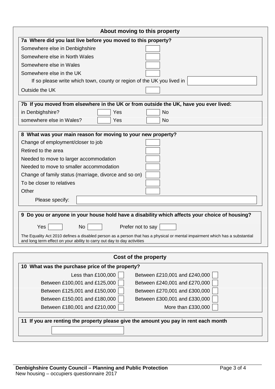| About moving to this property                                                                                                                                                                           |
|---------------------------------------------------------------------------------------------------------------------------------------------------------------------------------------------------------|
| 7a Where did you last live before you moved to this property?                                                                                                                                           |
| Somewhere else in Denbighshire                                                                                                                                                                          |
| Somewhere else in North Wales                                                                                                                                                                           |
| Somewhere else in Wales                                                                                                                                                                                 |
| Somewhere else in the UK                                                                                                                                                                                |
| If so please write which town, county or region of the UK you lived in                                                                                                                                  |
| Outside the UK                                                                                                                                                                                          |
|                                                                                                                                                                                                         |
| 7b If you moved from elsewhere in the UK or from outside the UK, have you ever lived:                                                                                                                   |
| in Denbighshire?<br>Yes<br><b>No</b>                                                                                                                                                                    |
| somewhere else in Wales?<br>Yes<br><b>No</b>                                                                                                                                                            |
| 8 What was your main reason for moving to your new property?                                                                                                                                            |
| Change of employment/closer to job                                                                                                                                                                      |
| Retired to the area                                                                                                                                                                                     |
|                                                                                                                                                                                                         |
| Needed to move to larger accommodation<br>Needed to move to smaller accommodation                                                                                                                       |
|                                                                                                                                                                                                         |
| Change of family status (marriage, divorce and so on)                                                                                                                                                   |
| To be closer to relatives<br>Other                                                                                                                                                                      |
|                                                                                                                                                                                                         |
| Please specify:                                                                                                                                                                                         |
| 9 Do you or anyone in your house hold have a disability which affects your choice of housing?                                                                                                           |
|                                                                                                                                                                                                         |
| Yes<br>Prefer not to say<br>No                                                                                                                                                                          |
| The Equality Act 2010 defines a disabled person as a person that has a physical or mental impairment which has a substantial<br>and long term effect on your ability to carry out day to day activities |
|                                                                                                                                                                                                         |
| Cost of the property                                                                                                                                                                                    |
| 10 What was the purchase price of the property?                                                                                                                                                         |
| Less than £100,000<br>Between £210,001 and £240,000                                                                                                                                                     |
| Between £100,001 and £125,000<br>Between £240,001 and £270,000                                                                                                                                          |
| Between £125,001 and £150,000<br>Between £270,001 and £300,000                                                                                                                                          |
| Between £150,001 and £180,000<br>Between £300,001 and £330,000                                                                                                                                          |
| Between £180,001 and £210,000<br>More than £330,000                                                                                                                                                     |
|                                                                                                                                                                                                         |
| 11 If you are renting the property please give the amount you pay in rent each month                                                                                                                    |
|                                                                                                                                                                                                         |
|                                                                                                                                                                                                         |